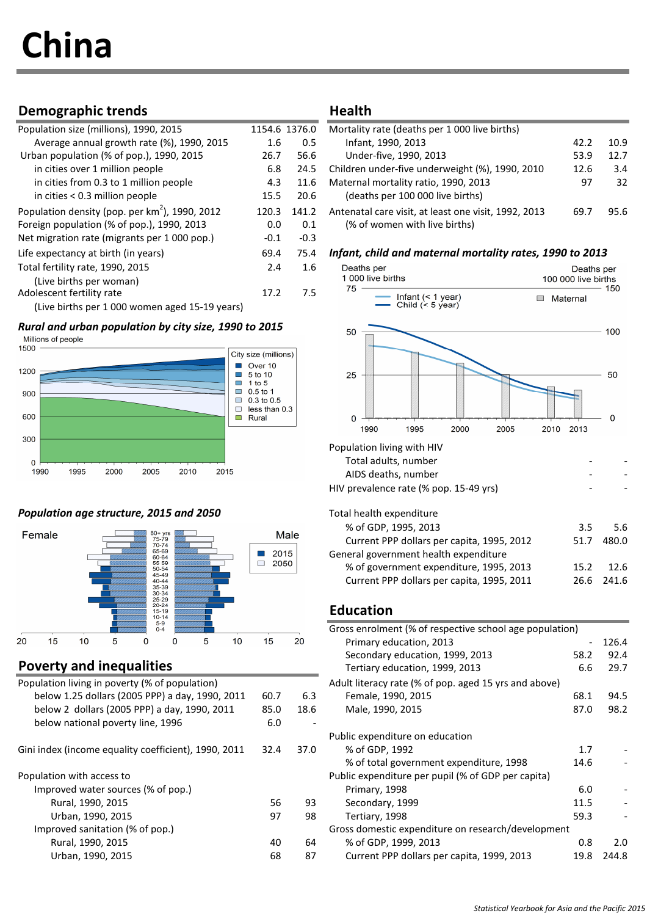# China

# Demographic trends Health

| Population size (millions), 1990, 2015           |        | 1154.6 1376.0 | Mortality rate (deaths per 1 000 live births)  |
|--------------------------------------------------|--------|---------------|------------------------------------------------|
| Average annual growth rate (%), 1990, 2015       | 1.6    | 0.5           | Infant, 1990, 2013                             |
| Urban population (% of pop.), 1990, 2015         | 26.7   | 56.6          | Under-five, 1990, 2013                         |
| in cities over 1 million people                  | 6.8    | 24.5          | Children under-five underweight (%), 1990,     |
| in cities from 0.3 to 1 million people           | 4.3    | 11.6          | Maternal mortality ratio, 1990, 2013           |
| in cities $< 0.3$ million people                 | 15.5   | 20.6          | (deaths per 100 000 live births)               |
| Population density (pop. per $km2$ ), 1990, 2012 | 120.3  | 141.2         | Antenatal care visit, at least one visit, 1992 |
| Foreign population (% of pop.), 1990, 2013       | 0.0    | 0.1           | (% of women with live births)                  |
| Net migration rate (migrants per 1 000 pop.)     | $-0.1$ | $-0.3$        |                                                |
| Life expectancy at birth (in years)              | 69.4   | 75.4          | Infant, child and maternal mortality ro        |
| Total fertility rate, 1990, 2015                 | 2.4    | 1.6           | Deaths per                                     |
| (Live births per woman)                          |        |               | 1 000 live births                              |
| Adolescent fertility rate                        | 17.2   | 7.5           | 75<br>Infant $($ < 1 year)                     |
| (Live births per 1 000 women aged 15-19 years)   |        |               | Child $($ 5 year)                              |

# **Rural and urban population by city size, 1990 to 2015**<br>Millions of people



# Population age structure, 2015 and 2050



# Poverty and inequalities

| Population living in poverty (% of population)       |      |      | Adult literacy rate (% of pop. aged 15 yrs and above) |
|------------------------------------------------------|------|------|-------------------------------------------------------|
| below 1.25 dollars (2005 PPP) a day, 1990, 2011      | 60.7 | 6.3  | Female, 1990, 2015                                    |
| below 2 dollars (2005 PPP) a day, 1990, 2011         | 85.0 | 18.6 | Male, 1990, 2015                                      |
| below national poverty line, 1996                    | 6.0  |      |                                                       |
|                                                      |      |      | Public expenditure on education                       |
| Gini index (income equality coefficient), 1990, 2011 | 32.4 | 37.0 | % of GDP, 1992                                        |
|                                                      |      |      | % of total government expenditure, 1998               |
| Population with access to                            |      |      | Public expenditure per pupil (% of GDP per capita)    |
| Improved water sources (% of pop.)                   |      |      | Primary, 1998                                         |
| Rural, 1990, 2015                                    | 56   | 93   | Secondary, 1999                                       |
| Urban, 1990, 2015                                    | 97   | 98   | Tertiary, 1998                                        |
| Improved sanitation (% of pop.)                      |      |      | Gross domestic expenditure on research/development    |
| Rural, 1990, 2015                                    | 40   | 64   | % of GDP, 1999, 2013                                  |
| Urban, 1990, 2015                                    | 68   | 87   | Current PPP dollars per capita, 1999, 2013            |
|                                                      |      |      |                                                       |

| Population size (millions), 1990, 2015            | 1154.6 1376.0 |       | Mortality rate (deaths per 1 000 live births)        |      |      |
|---------------------------------------------------|---------------|-------|------------------------------------------------------|------|------|
| Average annual growth rate (%), 1990, 2015        | 1.6           | 0.5   | Infant, 1990, 2013                                   | 42.2 | 10.9 |
| Urban population (% of pop.), 1990, 2015          | 26.7          | 56.6  | Under-five, 1990, 2013                               | 53.9 | 12.7 |
| in cities over 1 million people                   | 6.8           | 24.5  | Children under-five underweight (%), 1990, 2010      | 12.6 | 3.4  |
| in cities from 0.3 to 1 million people            | 4.3           | 11.6  | Maternal mortality ratio, 1990, 2013                 | 97   | 32   |
| in cities $< 0.3$ million people                  | 15.5          | 20.6  | (deaths per 100 000 live births)                     |      |      |
| Population density (pop. per $km^2$ ), 1990, 2012 | 120.3         | 141.2 | Antenatal care visit, at least one visit, 1992, 2013 | 69.7 | 95.6 |
| Foreign population (% of pop.), 1990, 2013        | 0.0           | 0.1   | (% of women with live births)                        |      |      |

### Infant, child and maternal mortality rates, 1990 to 2013



# Education

|                                                      |                   |   | $5-9$   |   |    |      |      |                                                         |      |       |
|------------------------------------------------------|-------------------|---|---------|---|----|------|------|---------------------------------------------------------|------|-------|
|                                                      |                   |   | $0 - 4$ |   |    |      |      | Gross enrolment (% of respective school age population) |      |       |
| 15<br>20                                             | 10                | 5 |         | 5 | 10 | 15   | 20   | Primary education, 2013                                 |      | 126.4 |
|                                                      |                   |   |         |   |    |      |      | Secondary education, 1999, 2013                         | 58.2 | 92.4  |
| <b>Poverty and inequalities</b>                      |                   |   |         |   |    |      |      | Tertiary education, 1999, 2013                          | 6.6  | 29.7  |
| Population living in poverty (% of population)       |                   |   |         |   |    |      |      | Adult literacy rate (% of pop. aged 15 yrs and above)   |      |       |
| below 1.25 dollars (2005 PPP) a day, 1990, 2011      |                   |   |         |   |    | 60.7 | 6.3  | Female, 1990, 2015                                      | 68.1 | 94.5  |
| below 2 dollars (2005 PPP) a day, 1990, 2011         |                   |   |         |   |    | 85.0 | 18.6 | Male, 1990, 2015                                        | 87.0 | 98.2  |
| below national poverty line, 1996                    |                   |   |         |   |    | 6.0  |      |                                                         |      |       |
|                                                      |                   |   |         |   |    |      |      | Public expenditure on education                         |      |       |
| Gini index (income equality coefficient), 1990, 2011 |                   |   |         |   |    | 32.4 | 37.0 | % of GDP, 1992                                          | 1.7  |       |
|                                                      |                   |   |         |   |    |      |      | % of total government expenditure, 1998                 | 14.6 |       |
| Population with access to                            |                   |   |         |   |    |      |      | Public expenditure per pupil (% of GDP per capita)      |      |       |
| Improved water sources (% of pop.)                   |                   |   |         |   |    |      |      | Primary, 1998                                           | 6.0  |       |
|                                                      | Rural, 1990, 2015 |   |         |   |    | 56   | 93   | Secondary, 1999                                         | 11.5 |       |
|                                                      | Urban, 1990, 2015 |   |         |   |    | 97   | 98   | Tertiary, 1998                                          | 59.3 |       |
| Improved sanitation (% of pop.)                      |                   |   |         |   |    |      |      | Gross domestic expenditure on research/development      |      |       |
|                                                      | Rural, 1990, 2015 |   |         |   |    | 40   | 64   | % of GDP, 1999, 2013                                    | 0.8  | 2.0   |
|                                                      | Urban, 1990, 2015 |   |         |   |    | 68   | 87   | Current PPP dollars per capita, 1999, 2013              | 19.8 | 244.8 |